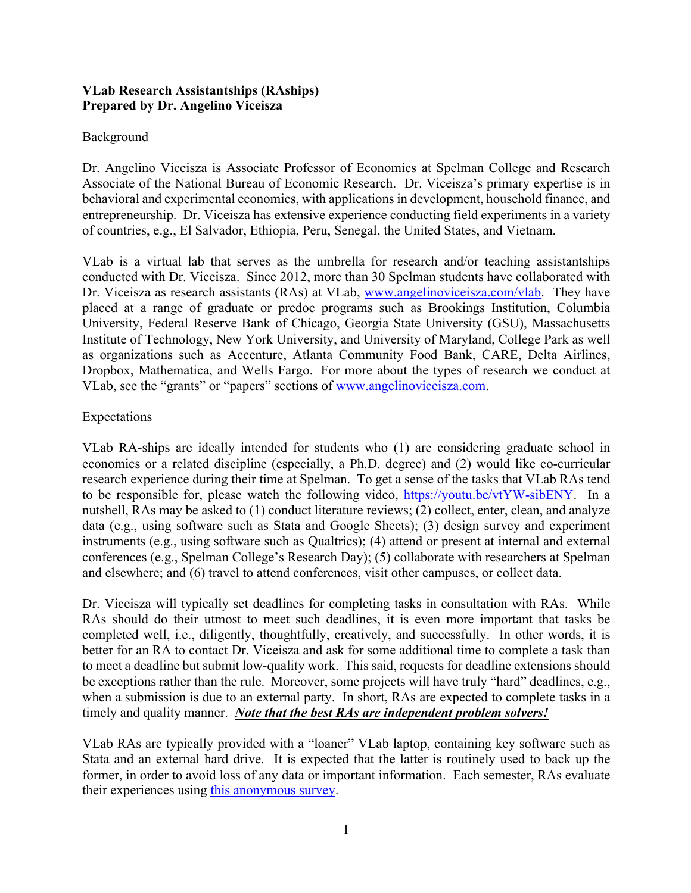# **VLab Research Assistantships (RAships) Prepared by Dr. Angelino Viceisza**

# **Background**

Dr. Angelino Viceisza is Associate Professor of Economics at Spelman College and Research Associate of the National Bureau of Economic Research. Dr. Viceisza's primary expertise is in behavioral and experimental economics, with applications in development, household finance, and entrepreneurship. Dr. Viceisza has extensive experience conducting field experiments in a variety of countries, e.g., El Salvador, Ethiopia, Peru, Senegal, the United States, and Vietnam.

VLab is a virtual lab that serves as the umbrella for research and/or teaching assistantships conducted with Dr. Viceisza. Since 2012, more than 30 Spelman students have collaborated with Dr. Viceisza as research assistants (RAs) at VLab, www.angelinoviceisza.com/vlab. They have placed at a range of graduate or predoc programs such as Brookings Institution, Columbia University, Federal Reserve Bank of Chicago, Georgia State University (GSU), Massachusetts Institute of Technology, New York University, and University of Maryland, College Park as well as organizations such as Accenture, Atlanta Community Food Bank, CARE, Delta Airlines, Dropbox, Mathematica, and Wells Fargo. For more about the types of research we conduct at VLab, see the "grants" or "papers" sections of www.angelinoviceisza.com.

#### **Expectations**

VLab RA-ships are ideally intended for students who (1) are considering graduate school in economics or a related discipline (especially, a Ph.D. degree) and (2) would like co-curricular research experience during their time at Spelman. To get a sense of the tasks that VLab RAs tend to be responsible for, please watch the following video, https://youtu.be/vtYW-sibENY. In a nutshell, RAs may be asked to (1) conduct literature reviews; (2) collect, enter, clean, and analyze data (e.g., using software such as Stata and Google Sheets); (3) design survey and experiment instruments (e.g., using software such as Qualtrics); (4) attend or present at internal and external conferences (e.g., Spelman College's Research Day); (5) collaborate with researchers at Spelman and elsewhere; and (6) travel to attend conferences, visit other campuses, or collect data.

Dr. Viceisza will typically set deadlines for completing tasks in consultation with RAs. While RAs should do their utmost to meet such deadlines, it is even more important that tasks be completed well, i.e., diligently, thoughtfully, creatively, and successfully. In other words, it is better for an RA to contact Dr. Viceisza and ask for some additional time to complete a task than to meet a deadline but submit low-quality work. This said, requests for deadline extensions should be exceptions rather than the rule. Moreover, some projects will have truly "hard" deadlines, e.g., when a submission is due to an external party. In short, RAs are expected to complete tasks in a timely and quality manner. *Note that the best RAs are independent problem solvers!*

VLab RAs are typically provided with a "loaner" VLab laptop, containing key software such as Stata and an external hard drive. It is expected that the latter is routinely used to back up the former, in order to avoid loss of any data or important information. Each semester, RAs evaluate their experiences using this anonymous survey.